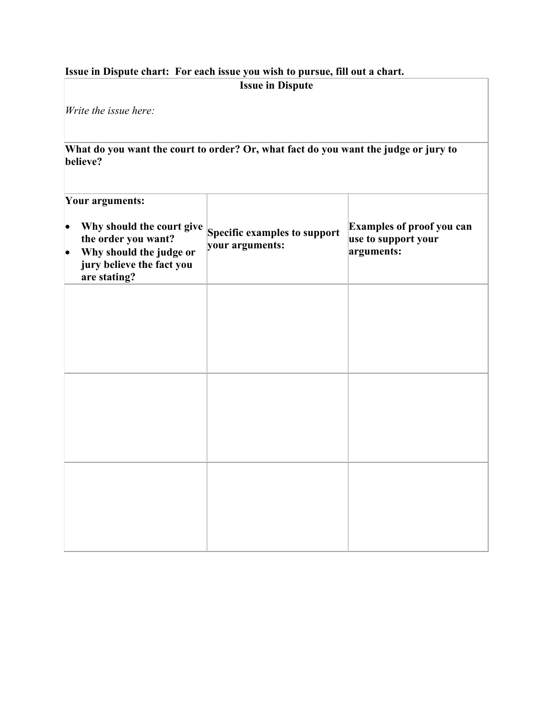## **Issue in Dispute chart: For each issue you wish to pursue, fill out a chart. Issue in Dispute**

*Write the issue here:*

**What do you want the court to order? Or, what fact do you want the judge or jury to believe?**

| Your arguments: |                                                                                                                          |                                                 |                                                                |
|-----------------|--------------------------------------------------------------------------------------------------------------------------|-------------------------------------------------|----------------------------------------------------------------|
|                 | Why should the court give<br>the order you want?<br>Why should the judge or<br>jury believe the fact you<br>are stating? | Specific examples to support<br>your arguments: | Examples of proof you can<br>use to support your<br>arguments: |
|                 |                                                                                                                          |                                                 |                                                                |
|                 |                                                                                                                          |                                                 |                                                                |
|                 |                                                                                                                          |                                                 |                                                                |
|                 |                                                                                                                          |                                                 |                                                                |
|                 |                                                                                                                          |                                                 |                                                                |
|                 |                                                                                                                          |                                                 |                                                                |
|                 |                                                                                                                          |                                                 |                                                                |
|                 |                                                                                                                          |                                                 |                                                                |
|                 |                                                                                                                          |                                                 |                                                                |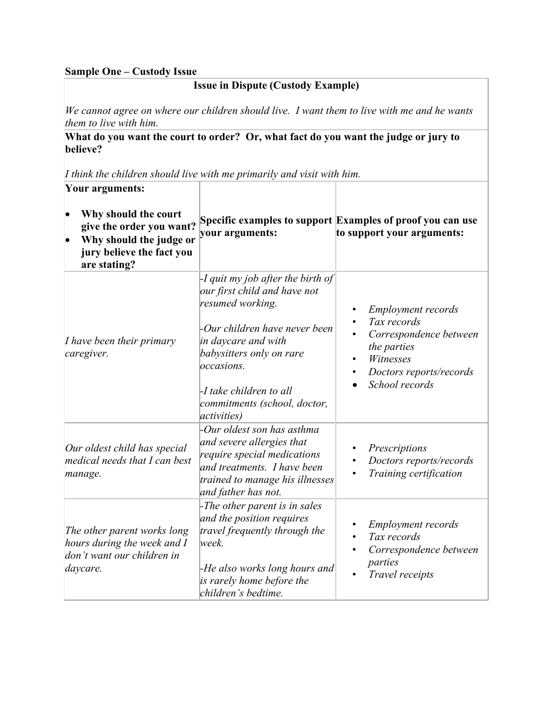#### **Sample One – Custody Issue**

### **Issue in Dispute (Custody Example)**

*We cannot agree on where our children should live. I want them to live with me and he wants them to live with him.*

#### **What do you want the court to order? Or, what fact do you want the judge or jury to believe?**

*I think the children should live with me primarily and visit with him.*

| Your arguments:                                                                                                          |                                                                                                                                                                                                                                                                           |                                                                                                                                             |
|--------------------------------------------------------------------------------------------------------------------------|---------------------------------------------------------------------------------------------------------------------------------------------------------------------------------------------------------------------------------------------------------------------------|---------------------------------------------------------------------------------------------------------------------------------------------|
| Why should the court<br>give the order you want?<br>Why should the judge or<br>jury believe the fact you<br>are stating? | your arguments:                                                                                                                                                                                                                                                           | Specific examples to support Examples of proof you can use<br>to support your arguments:                                                    |
| <i>I have been their primary</i><br>caregiver.                                                                           | -I quit my job after the birth of<br>our first child and have not<br>resumed working.<br>-Our children have never been<br>in daycare and with<br>babysitters only on rare<br>occasions.<br>-I take children to all<br>commitments (school, doctor,<br><i>activities</i> ) | <b>Employment records</b><br>Tax records<br>Correspondence between<br>the parties<br>Witnesses<br>Doctors reports/records<br>School records |
| Our oldest child has special<br>medical needs that I can best<br>manage.                                                 | -Our oldest son has asthma<br>and severe allergies that<br>require special medications<br>and treatments. I have been<br>trained to manage his illnesses<br>and father has not.                                                                                           | Prescriptions<br>Doctors reports/records<br>Training certification                                                                          |
| The other parent works long<br>hours during the week and I<br>don't want our children in<br>daycare.                     | -The other parent is in sales<br>and the position requires<br>travel frequently through the<br>week.<br>-He also works long hours and<br>is rarely home before the<br>children's bedtime.                                                                                 | <b>Employment records</b><br>Tax records<br>Correspondence between<br>parties<br>Travel receipts                                            |